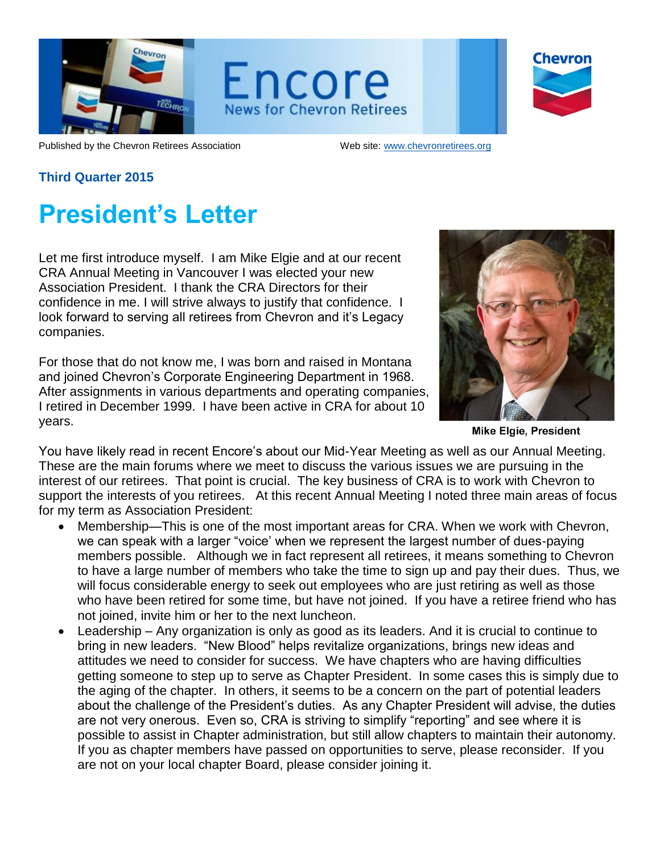

Encore **News for Chevron Retirees** 

**Chevron** 

Published by the Chevron Retirees Association Web site: [www.chevronretirees.org](http://www.chevronretirees.org/)

## **Third Quarter 2015**

# **President's Letter**

Let me first introduce myself. I am Mike Elgie and at our recent CRA Annual Meeting in Vancouver I was elected your new Association President. I thank the CRA Directors for their confidence in me. I will strive always to justify that confidence. I look forward to serving all retirees from Chevron and it's Legacy companies.

For those that do not know me, I was born and raised in Montana and joined Chevron's Corporate Engineering Department in 1968. After assignments in various departments and operating companies, I retired in December 1999. I have been active in CRA for about 10 years.



**Mike Elgie, President** 

You have likely read in recent Encore's about our Mid-Year Meeting as well as our Annual Meeting. These are the main forums where we meet to discuss the various issues we are pursuing in the interest of our retirees. That point is crucial. The key business of CRA is to work with Chevron to support the interests of you retirees. At this recent Annual Meeting I noted three main areas of focus for my term as Association President:

- Membership—This is one of the most important areas for CRA. When we work with Chevron, we can speak with a larger "voice' when we represent the largest number of dues-paying members possible. Although we in fact represent all retirees, it means something to Chevron to have a large number of members who take the time to sign up and pay their dues. Thus, we will focus considerable energy to seek out employees who are just retiring as well as those who have been retired for some time, but have not joined. If you have a retiree friend who has not joined, invite him or her to the next luncheon.
- Leadership Any organization is only as good as its leaders. And it is crucial to continue to bring in new leaders. "New Blood" helps revitalize organizations, brings new ideas and attitudes we need to consider for success. We have chapters who are having difficulties getting someone to step up to serve as Chapter President. In some cases this is simply due to the aging of the chapter. In others, it seems to be a concern on the part of potential leaders about the challenge of the President's duties. As any Chapter President will advise, the duties are not very onerous. Even so, CRA is striving to simplify "reporting" and see where it is possible to assist in Chapter administration, but still allow chapters to maintain their autonomy. If you as chapter members have passed on opportunities to serve, please reconsider. If you are not on your local chapter Board, please consider joining it.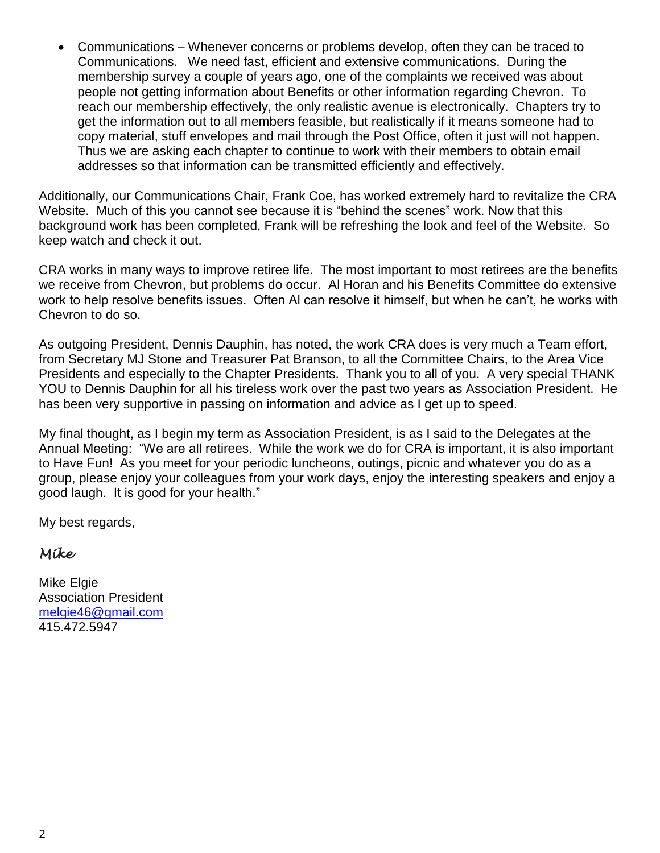Communications – Whenever concerns or problems develop, often they can be traced to Communications. We need fast, efficient and extensive communications. During the membership survey a couple of years ago, one of the complaints we received was about people not getting information about Benefits or other information regarding Chevron. To reach our membership effectively, the only realistic avenue is electronically. Chapters try to get the information out to all members feasible, but realistically if it means someone had to copy material, stuff envelopes and mail through the Post Office, often it just will not happen. Thus we are asking each chapter to continue to work with their members to obtain email addresses so that information can be transmitted efficiently and effectively.

Additionally, our Communications Chair, Frank Coe, has worked extremely hard to revitalize the CRA Website. Much of this you cannot see because it is "behind the scenes" work. Now that this background work has been completed, Frank will be refreshing the look and feel of the Website. So keep watch and check it out.

CRA works in many ways to improve retiree life. The most important to most retirees are the benefits we receive from Chevron, but problems do occur. Al Horan and his Benefits Committee do extensive work to help resolve benefits issues. Often Al can resolve it himself, but when he can't, he works with Chevron to do so.

As outgoing President, Dennis Dauphin, has noted, the work CRA does is very much a Team effort, from Secretary MJ Stone and Treasurer Pat Branson, to all the Committee Chairs, to the Area Vice Presidents and especially to the Chapter Presidents. Thank you to all of you. A very special THANK YOU to Dennis Dauphin for all his tireless work over the past two years as Association President. He has been very supportive in passing on information and advice as I get up to speed.

My final thought, as I begin my term as Association President, is as I said to the Delegates at the Annual Meeting: "We are all retirees. While the work we do for CRA is important, it is also important to Have Fun! As you meet for your periodic luncheons, outings, picnic and whatever you do as a group, please enjoy your colleagues from your work days, enjoy the interesting speakers and enjoy a good laugh. It is good for your health."

My best regards,

## *Mike*

**Mike Elgie** Association President [melgie46@gmail.com](mailto:melgie46@gmail.com) 415.472.5947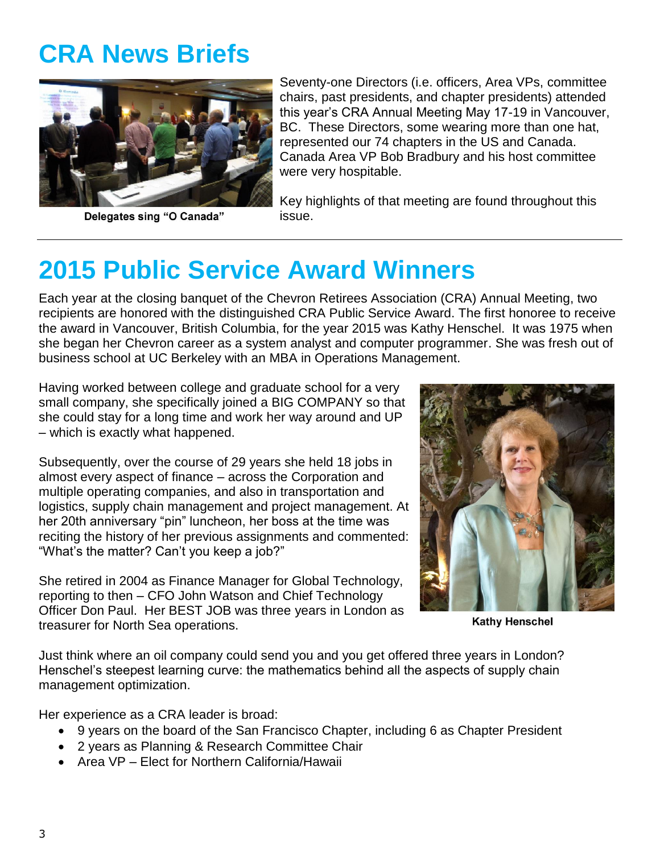# **CRA News Briefs**



Delegates sing "O Canada"

Seventy-one Directors (i.e. officers, Area VPs, committee chairs, past presidents, and chapter presidents) attended this year's CRA Annual Meeting May 17-19 in Vancouver, BC. These Directors, some wearing more than one hat, represented our 74 chapters in the US and Canada. Canada Area VP Bob Bradbury and his host committee were very hospitable.

Key highlights of that meeting are found throughout this issue.

# **2015 Public Service Award Winners**

Each year at the closing banquet of the Chevron Retirees Association (CRA) Annual Meeting, two recipients are honored with the distinguished CRA Public Service Award. The first honoree to receive the award in Vancouver, British Columbia, for the year 2015 was Kathy Henschel. It was 1975 when she began her Chevron career as a system analyst and computer programmer. She was fresh out of business school at UC Berkeley with an MBA in Operations Management.

Having worked between college and graduate school for a very small company, she specifically joined a BIG COMPANY so that she could stay for a long time and work her way around and UP – which is exactly what happened.

Subsequently, over the course of 29 years she held 18 jobs in almost every aspect of finance – across the Corporation and multiple operating companies, and also in transportation and logistics, supply chain management and project management. At her 20th anniversary "pin" luncheon, her boss at the time was reciting the history of her previous assignments and commented: "What's the matter? Can't you keep a job?"

She retired in 2004 as Finance Manager for Global Technology, reporting to then – CFO John Watson and Chief Technology Officer Don Paul. Her BEST JOB was three years in London as treasurer for North Sea operations.



**Kathy Henschel** 

Just think where an oil company could send you and you get offered three years in London? Henschel's steepest learning curve: the mathematics behind all the aspects of supply chain management optimization.

Her experience as a CRA leader is broad:

- 9 years on the board of the San Francisco Chapter, including 6 as Chapter President
- 2 years as Planning & Research Committee Chair
- Area VP Elect for Northern California/Hawaii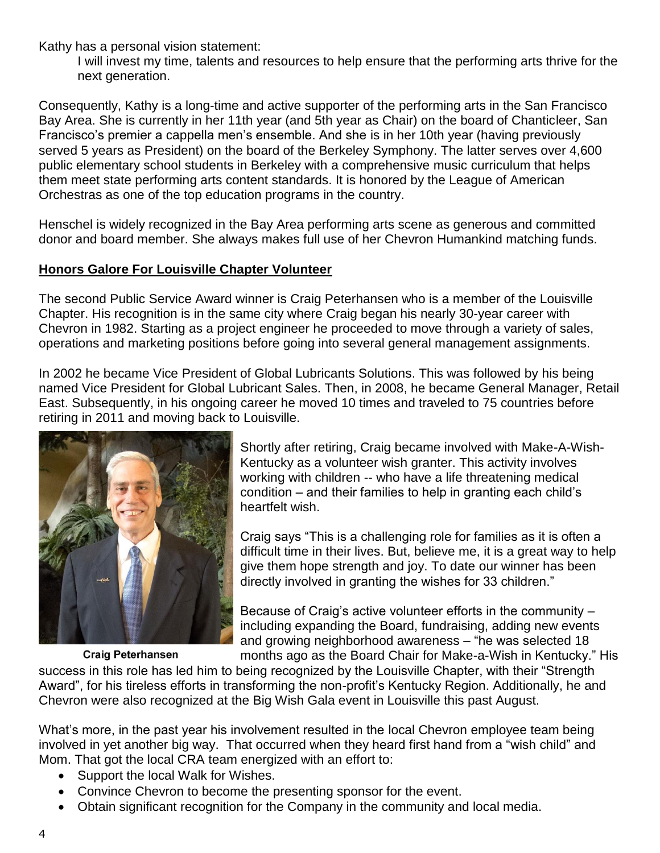Kathy has a personal vision statement:

I will invest my time, talents and resources to help ensure that the performing arts thrive for the next generation.

Consequently, Kathy is a long-time and active supporter of the performing arts in the San Francisco Bay Area. She is currently in her 11th year (and 5th year as Chair) on the board of Chanticleer, San Francisco's premier a cappella men's ensemble. And she is in her 10th year (having previously served 5 years as President) on the board of the Berkeley Symphony. The latter serves over 4,600 public elementary school students in Berkeley with a comprehensive music curriculum that helps them meet state performing arts content standards. It is honored by the League of American Orchestras as one of the top education programs in the country.

Henschel is widely recognized in the Bay Area performing arts scene as generous and committed donor and board member. She always makes full use of her Chevron Humankind matching funds.

## **Honors Galore For Louisville Chapter Volunteer**

The second Public Service Award winner is Craig Peterhansen who is a member of the Louisville Chapter. His recognition is in the same city where Craig began his nearly 30-year career with Chevron in 1982. Starting as a project engineer he proceeded to move through a variety of sales, operations and marketing positions before going into several general management assignments.

In 2002 he became Vice President of Global Lubricants Solutions. This was followed by his being named Vice President for Global Lubricant Sales. Then, in 2008, he became General Manager, Retail East. Subsequently, in his ongoing career he moved 10 times and traveled to 75 countries before retiring in 2011 and moving back to Louisville.



**Craig Peterhansen** 

Shortly after retiring, Craig became involved with Make-A-Wish-Kentucky as a volunteer wish granter. This activity involves working with children -- who have a life threatening medical condition – and their families to help in granting each child's heartfelt wish.

Craig says "This is a challenging role for families as it is often a difficult time in their lives. But, believe me, it is a great way to help give them hope strength and joy. To date our winner has been directly involved in granting the wishes for 33 children."

Because of Craig's active volunteer efforts in the community – including expanding the Board, fundraising, adding new events and growing neighborhood awareness – "he was selected 18 months ago as the Board Chair for Make-a-Wish in Kentucky." His

success in this role has led him to being recognized by the Louisville Chapter, with their "Strength Award", for his tireless efforts in transforming the non-profit's Kentucky Region. Additionally, he and Chevron were also recognized at the Big Wish Gala event in Louisville this past August.

What's more, in the past year his involvement resulted in the local Chevron employee team being involved in yet another big way. That occurred when they heard first hand from a "wish child" and Mom. That got the local CRA team energized with an effort to:

- Support the local Walk for Wishes.
- Convince Chevron to become the presenting sponsor for the event.
- Obtain significant recognition for the Company in the community and local media.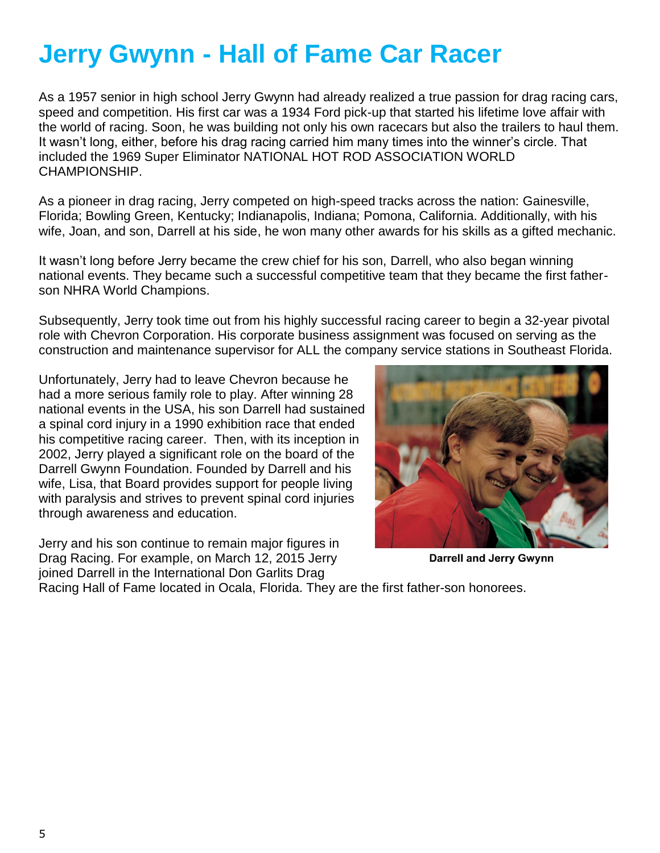# **Jerry Gwynn - Hall of Fame Car Racer**

As a 1957 senior in high school Jerry Gwynn had already realized a true passion for drag racing cars, speed and competition. His first car was a 1934 Ford pick-up that started his lifetime love affair with the world of racing. Soon, he was building not only his own racecars but also the trailers to haul them. It wasn't long, either, before his drag racing carried him many times into the winner's circle. That included the 1969 Super Eliminator NATIONAL HOT ROD ASSOCIATION WORLD CHAMPIONSHIP.

As a pioneer in drag racing, Jerry competed on high-speed tracks across the nation: Gainesville, Florida; Bowling Green, Kentucky; Indianapolis, Indiana; Pomona, California. Additionally, with his wife, Joan, and son, Darrell at his side, he won many other awards for his skills as a gifted mechanic.

It wasn't long before Jerry became the crew chief for his son, Darrell, who also began winning national events. They became such a successful competitive team that they became the first fatherson NHRA World Champions.

Subsequently, Jerry took time out from his highly successful racing career to begin a 32-year pivotal role with Chevron Corporation. His corporate business assignment was focused on serving as the construction and maintenance supervisor for ALL the company service stations in Southeast Florida.

Unfortunately, Jerry had to leave Chevron because he had a more serious family role to play. After winning 28 national events in the USA, his son Darrell had sustained a spinal cord injury in a 1990 exhibition race that ended his competitive racing career. Then, with its inception in 2002, Jerry played a significant role on the board of the Darrell Gwynn Foundation. Founded by Darrell and his wife, Lisa, that Board provides support for people living with paralysis and strives to prevent spinal cord injuries through awareness and education.

Jerry and his son continue to remain major figures in Drag Racing. For example, on March 12, 2015 Jerry joined Darrell in the International Don Garlits Drag



**Darrell and Jerry Gwynn** 

Racing Hall of Fame located in Ocala, Florida. They are the first father-son honorees.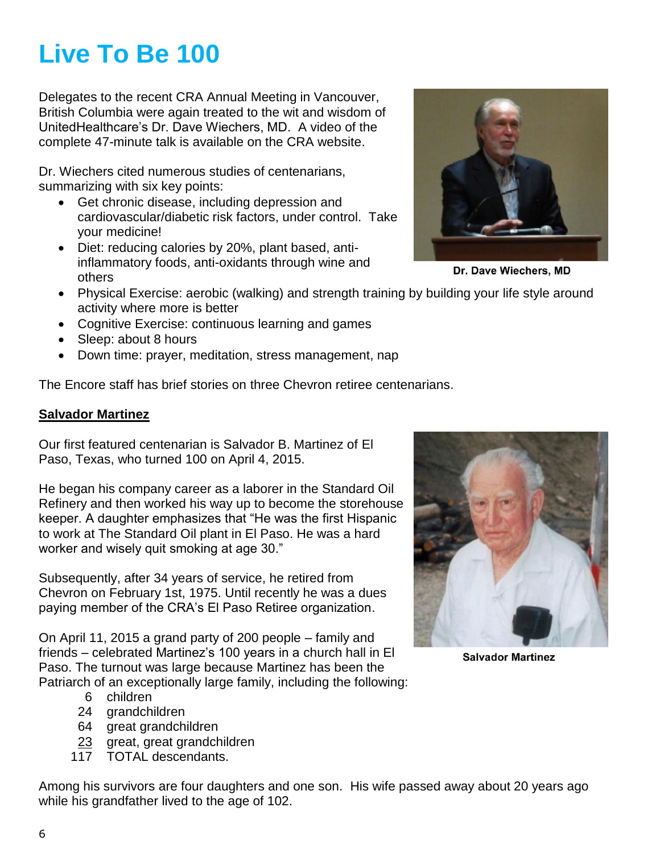# **Live To Be 100**

Delegates to the recent CRA Annual Meeting in Vancouver, British Columbia were again treated to the wit and wisdom of UnitedHealthcare's Dr. Dave Wiechers, MD. A video of the complete 47-minute talk is available on the CRA website.

Dr. Wiechers cited numerous studies of centenarians, summarizing with six key points:

- Get chronic disease, including depression and cardiovascular/diabetic risk factors, under control. Take your medicine!
- Diet: reducing calories by 20%, plant based, antiinflammatory foods, anti-oxidants through wine and others
- Physical Exercise: aerobic (walking) and strength training by building your life style around activity where more is better
- Cognitive Exercise: continuous learning and games
- Sleep: about 8 hours
- Down time: prayer, meditation, stress management, nap

The Encore staff has brief stories on three Chevron retiree centenarians.

## **Salvador Martinez**

Our first featured centenarian is Salvador B. Martinez of El Paso, Texas, who turned 100 on April 4, 2015.

He began his company career as a laborer in the Standard Oil Refinery and then worked his way up to become the storehouse keeper. A daughter emphasizes that "He was the first Hispanic to work at The Standard Oil plant in El Paso. He was a hard worker and wisely quit smoking at age 30."

Subsequently, after 34 years of service, he retired from Chevron on February 1st, 1975. Until recently he was a dues paying member of the CRA's El Paso Retiree organization.

On April 11, 2015 a grand party of 200 people – family and friends – celebrated Martinez's 100 years in a church hall in El Paso. The turnout was large because Martinez has been the Patriarch of an exceptionally large family, including the following:

- 6 children
- 24 grandchildren
- 64 great grandchildren
- 23 great, great grandchildren
- 117 TOTAL descendants.

Among his survivors are four daughters and one son. His wife passed away about 20 years ago while his grandfather lived to the age of 102.

**Salvador Martinez** 



Dr. Dave Wiechers. MD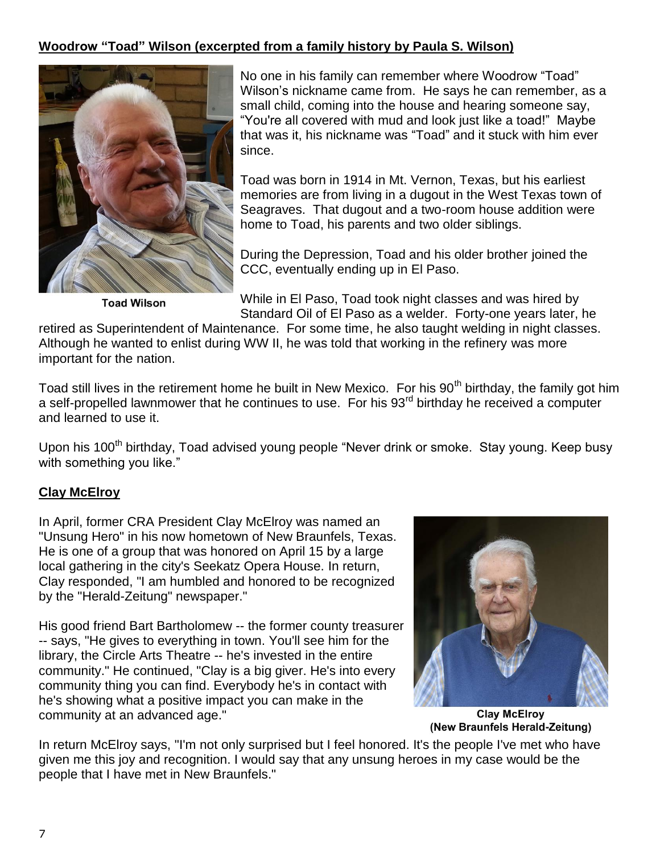## **Woodrow "Toad" Wilson (excerpted from a family history by Paula S. Wilson)**



**Toad Wilson** 

No one in his family can remember where Woodrow "Toad" Wilson's nickname came from. He says he can remember, as a small child, coming into the house and hearing someone say, "You're all covered with mud and look just like a toad!" Maybe that was it, his nickname was "Toad" and it stuck with him ever since.

Toad was born in 1914 in Mt. Vernon, Texas, but his earliest memories are from living in a dugout in the West Texas town of Seagraves. That dugout and a two-room house addition were home to Toad, his parents and two older siblings.

During the Depression, Toad and his older brother joined the CCC, eventually ending up in El Paso.

While in El Paso, Toad took night classes and was hired by Standard Oil of El Paso as a welder. Forty-one years later, he

retired as Superintendent of Maintenance. For some time, he also taught welding in night classes. Although he wanted to enlist during WW II, he was told that working in the refinery was more important for the nation.

Toad still lives in the retirement home he built in New Mexico. For his 90<sup>th</sup> birthday, the family got him a self-propelled lawnmower that he continues to use. For his 93rd birthday he received a computer and learned to use it.

Upon his 100<sup>th</sup> birthday, Toad advised young people "Never drink or smoke. Stay young. Keep busy with something you like."

## **Clay McElroy**

In April, former CRA President Clay McElroy was named an "Unsung Hero" in his now hometown of New Braunfels, Texas. He is one of a group that was honored on April 15 by a large local gathering in the city's Seekatz Opera House. In return, Clay responded, "I am humbled and honored to be recognized by the "Herald-Zeitung" newspaper."

His good friend Bart Bartholomew -- the former county treasurer -- says, "He gives to everything in town. You'll see him for the library, the Circle Arts Theatre -- he's invested in the entire community." He continued, "Clay is a big giver. He's into every community thing you can find. Everybody he's in contact with he's showing what a positive impact you can make in the community at an advanced age."



**Clay McElroy** (New Braunfels Herald-Zeitung)

In return McElroy says, "I'm not only surprised but I feel honored. It's the people I've met who have given me this joy and recognition. I would say that any unsung heroes in my case would be the people that I have met in New Braunfels."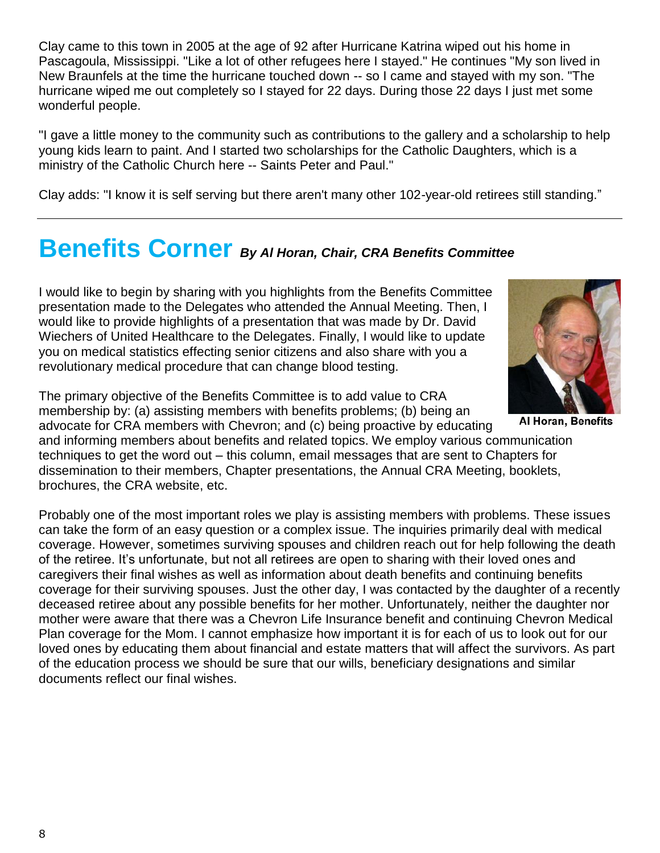Clay came to this town in 2005 at the age of 92 after Hurricane Katrina wiped out his home in Pascagoula, Mississippi. "Like a lot of other refugees here I stayed." He continues "My son lived in New Braunfels at the time the hurricane touched down -- so I came and stayed with my son. "The hurricane wiped me out completely so I stayed for 22 days. During those 22 days I just met some wonderful people.

"I gave a little money to the community such as contributions to the gallery and a scholarship to help young kids learn to paint. And I started two scholarships for the Catholic Daughters, which is a ministry of the Catholic Church here -- Saints Peter and Paul."

Clay adds: "I know it is self serving but there aren't many other 102-year-old retirees still standing."

# **Benefits Corner** *By Al Horan, Chair, CRA Benefits Committee*

I would like to begin by sharing with you highlights from the Benefits Committee presentation made to the Delegates who attended the Annual Meeting. Then, I would like to provide highlights of a presentation that was made by Dr. David Wiechers of United Healthcare to the Delegates. Finally, I would like to update you on medical statistics effecting senior citizens and also share with you a revolutionary medical procedure that can change blood testing.



advocate for CRA members with Chevron; and (c) being proactive by educating

and informing members about benefits and related topics. We employ various communication techniques to get the word out – this column, email messages that are sent to Chapters for dissemination to their members, Chapter presentations, the Annual CRA Meeting, booklets, brochures, the CRA website, etc.

Probably one of the most important roles we play is assisting members with problems. These issues can take the form of an easy question or a complex issue. The inquiries primarily deal with medical coverage. However, sometimes surviving spouses and children reach out for help following the death of the retiree. It's unfortunate, but not all retirees are open to sharing with their loved ones and caregivers their final wishes as well as information about death benefits and continuing benefits coverage for their surviving spouses. Just the other day, I was contacted by the daughter of a recently deceased retiree about any possible benefits for her mother. Unfortunately, neither the daughter nor mother were aware that there was a Chevron Life Insurance benefit and continuing Chevron Medical Plan coverage for the Mom. I cannot emphasize how important it is for each of us to look out for our loved ones by educating them about financial and estate matters that will affect the survivors. As part of the education process we should be sure that our wills, beneficiary designations and similar documents reflect our final wishes.



Al Horan, Benefits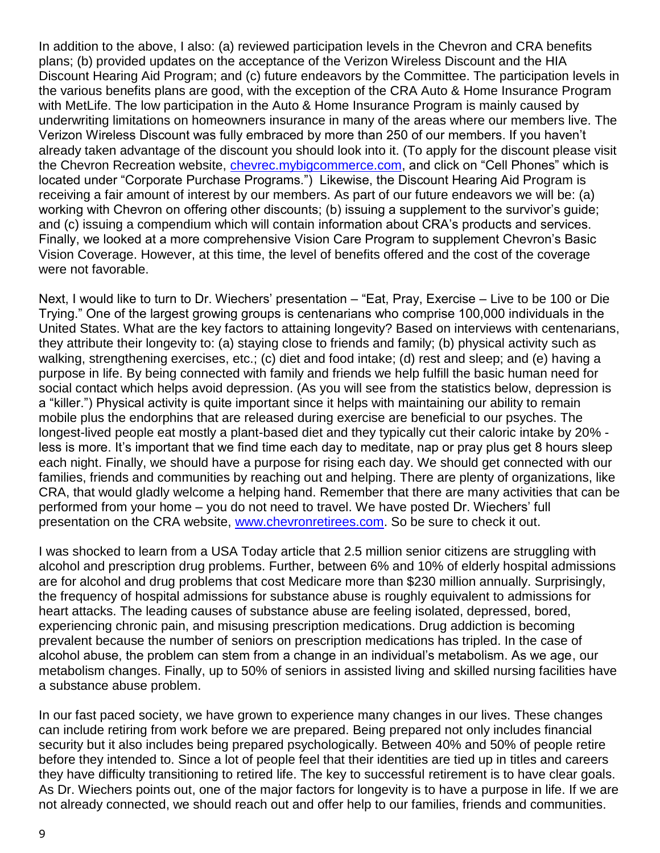In addition to the above, I also: (a) reviewed participation levels in the Chevron and CRA benefits plans; (b) provided updates on the acceptance of the Verizon Wireless Discount and the HIA Discount Hearing Aid Program; and (c) future endeavors by the Committee. The participation levels in the various benefits plans are good, with the exception of the CRA Auto & Home Insurance Program with MetLife. The low participation in the Auto & Home Insurance Program is mainly caused by underwriting limitations on homeowners insurance in many of the areas where our members live. The Verizon Wireless Discount was fully embraced by more than 250 of our members. If you haven't already taken advantage of the discount you should look into it. (To apply for the discount please visit the Chevron Recreation website, *chevrec.mybigcommerce.com*, and click on "Cell Phones" which is located under "Corporate Purchase Programs.") Likewise, the Discount Hearing Aid Program is receiving a fair amount of interest by our members. As part of our future endeavors we will be: (a) working with Chevron on offering other discounts; (b) issuing a supplement to the survivor's guide; and (c) issuing a compendium which will contain information about CRA's products and services. Finally, we looked at a more comprehensive Vision Care Program to supplement Chevron's Basic Vision Coverage. However, at this time, the level of benefits offered and the cost of the coverage were not favorable.

Next, I would like to turn to Dr. Wiechers' presentation – "Eat, Pray, Exercise – Live to be 100 or Die Trying." One of the largest growing groups is centenarians who comprise 100,000 individuals in the United States. What are the key factors to attaining longevity? Based on interviews with centenarians, they attribute their longevity to: (a) staying close to friends and family; (b) physical activity such as walking, strengthening exercises, etc.; (c) diet and food intake; (d) rest and sleep; and (e) having a purpose in life. By being connected with family and friends we help fulfill the basic human need for social contact which helps avoid depression. (As you will see from the statistics below, depression is a "killer.") Physical activity is quite important since it helps with maintaining our ability to remain mobile plus the endorphins that are released during exercise are beneficial to our psyches. The longest-lived people eat mostly a plant-based diet and they typically cut their caloric intake by 20% less is more. It's important that we find time each day to meditate, nap or pray plus get 8 hours sleep each night. Finally, we should have a purpose for rising each day. We should get connected with our families, friends and communities by reaching out and helping. There are plenty of organizations, like CRA, that would gladly welcome a helping hand. Remember that there are many activities that can be performed from your home – you do not need to travel. We have posted Dr. Wiechers' full presentation on the CRA website, [www.chevronretirees.com.](http://www.chevronretirees.com/) So be sure to check it out.

I was shocked to learn from a USA Today article that 2.5 million senior citizens are struggling with alcohol and prescription drug problems. Further, between 6% and 10% of elderly hospital admissions are for alcohol and drug problems that cost Medicare more than \$230 million annually. Surprisingly, the frequency of hospital admissions for substance abuse is roughly equivalent to admissions for heart attacks. The leading causes of substance abuse are feeling isolated, depressed, bored, experiencing chronic pain, and misusing prescription medications. Drug addiction is becoming prevalent because the number of seniors on prescription medications has tripled. In the case of alcohol abuse, the problem can stem from a change in an individual's metabolism. As we age, our metabolism changes. Finally, up to 50% of seniors in assisted living and skilled nursing facilities have a substance abuse problem.

In our fast paced society, we have grown to experience many changes in our lives. These changes can include retiring from work before we are prepared. Being prepared not only includes financial security but it also includes being prepared psychologically. Between 40% and 50% of people retire before they intended to. Since a lot of people feel that their identities are tied up in titles and careers they have difficulty transitioning to retired life. The key to successful retirement is to have clear goals. As Dr. Wiechers points out, one of the major factors for longevity is to have a purpose in life. If we are not already connected, we should reach out and offer help to our families, friends and communities.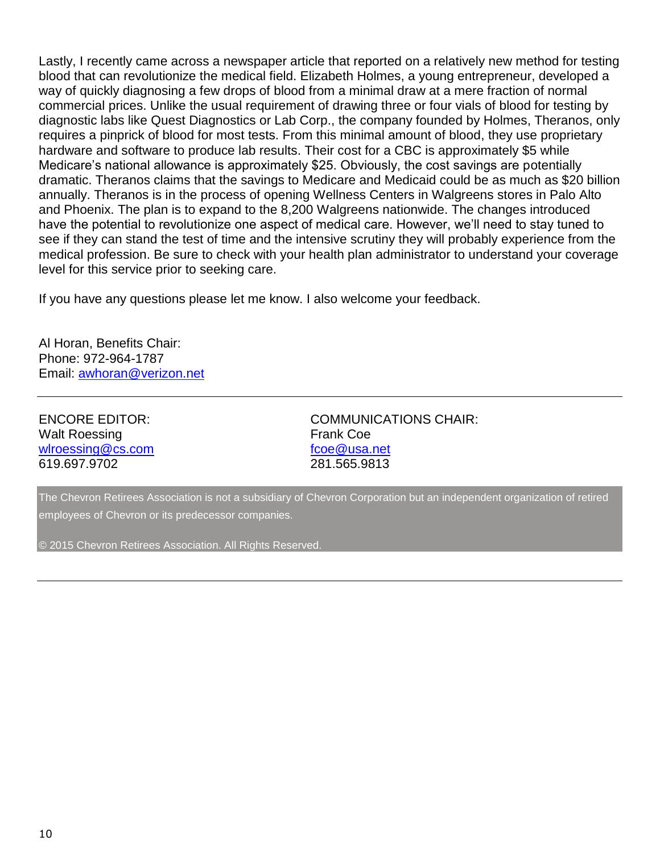Lastly, I recently came across a newspaper article that reported on a relatively new method for testing blood that can revolutionize the medical field. Elizabeth Holmes, a young entrepreneur, developed a way of quickly diagnosing a few drops of blood from a minimal draw at a mere fraction of normal commercial prices. Unlike the usual requirement of drawing three or four vials of blood for testing by diagnostic labs like Quest Diagnostics or Lab Corp., the company founded by Holmes, Theranos, only requires a pinprick of blood for most tests. From this minimal amount of blood, they use proprietary hardware and software to produce lab results. Their cost for a CBC is approximately \$5 while Medicare's national allowance is approximately \$25. Obviously, the cost savings are potentially dramatic. Theranos claims that the savings to Medicare and Medicaid could be as much as \$20 billion annually. Theranos is in the process of opening Wellness Centers in Walgreens stores in Palo Alto and Phoenix. The plan is to expand to the 8,200 Walgreens nationwide. The changes introduced have the potential to revolutionize one aspect of medical care. However, we'll need to stay tuned to see if they can stand the test of time and the intensive scrutiny they will probably experience from the medical profession. Be sure to check with your health plan administrator to understand your coverage level for this service prior to seeking care.

If you have any questions please let me know. I also welcome your feedback.

Al Horan, Benefits Chair: Phone: 972-964-1787 Email: [awhoran@verizon.net](mailto:awhoran@verizon.net)

Walt Roessing **Frank Coe** [wlroessing@cs.com](mailto:wlroessing@cs.com) [fcoe@usa.net](mailto:fcoe@usa.net) 619.697.9702 281.565.9813

ENCORE EDITOR: COMMUNICATIONS CHAIR:

The Chevron Retirees Association is not a subsidiary of Chevron Corporation but an independent organization of retired employees of Chevron or its predecessor companies.

© 2015 Chevron Retirees Association. All Rights Reserved.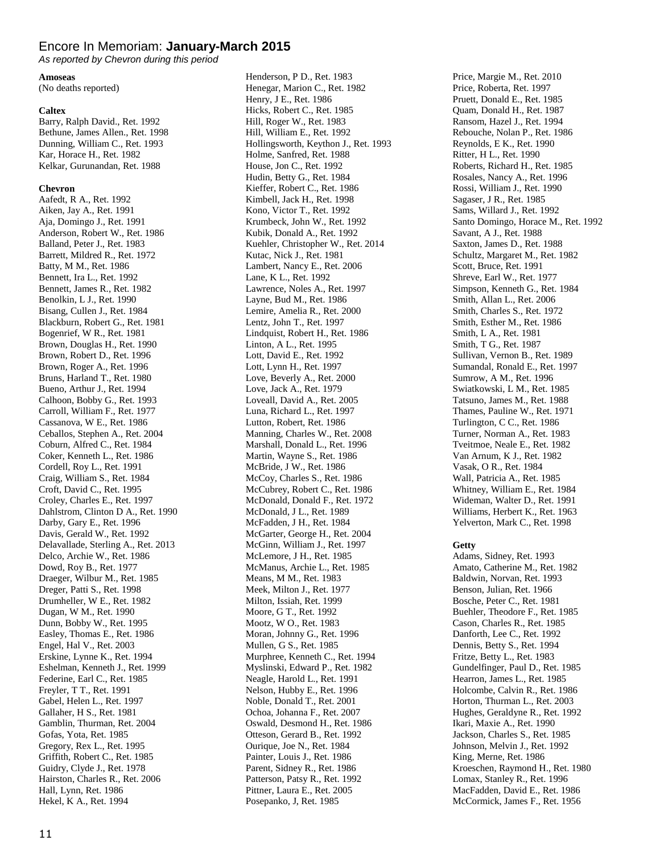## Encore In Memoriam: **January-March 2015**

*As reported by Chevron during this period*

#### **Amoseas**

(No deaths reported)

### **Caltex**

Barry, Ralph David., Ret. 1992 Bethune, James Allen., Ret. 1998 Dunning, William C., Ret. 1993 Kar, Horace H., Ret. 1982 Kelkar, Gurunandan, Ret. 1988

#### **Chevron**

Aafedt, R A., Ret. 1992 Aiken, Jay A., Ret. 1991 Aja, Domingo J., Ret. 1991 Anderson, Robert W., Ret. 1986 Balland, Peter J., Ret. 1983 Barrett, Mildred R., Ret. 1972 Batty, M M., Ret. 1986 Bennett, Ira L., Ret. 1992 Bennett, James R., Ret. 1982 Benolkin, L J., Ret. 1990 Bisang, Cullen J., Ret. 1984 Blackburn, Robert G., Ret. 1981 Bogenrief, W R., Ret. 1981 Brown, Douglas H., Ret. 1990 Brown, Robert D., Ret. 1996 Brown, Roger A., Ret. 1996 Bruns, Harland T., Ret. 1980 Bueno, Arthur J., Ret. 1994 Calhoon, Bobby G., Ret. 1993 Carroll, William F., Ret. 1977 Cassanova, W E., Ret. 1986 Ceballos, Stephen A., Ret. 2004 Coburn, Alfred C., Ret. 1984 Coker, Kenneth L., Ret. 1986 Cordell, Roy L., Ret. 1991 Craig, William S., Ret. 1984 Croft, David C., Ret. 1995 Croley, Charles E., Ret. 1997 Dahlstrom, Clinton D A., Ret. 1990 Darby, Gary E., Ret. 1996 Davis, Gerald W., Ret. 1992 Delavallade, Sterling A., Ret. 2013 Delco, Archie W., Ret. 1986 Dowd, Roy B., Ret. 1977 Draeger, Wilbur M., Ret. 1985 Dreger, Patti S., Ret. 1998 Drumheller, W E., Ret. 1982 Dugan, W M., Ret. 1990 Dunn, Bobby W., Ret. 1995 Easley, Thomas E., Ret. 1986 Engel, Hal V., Ret. 2003 Erskine, Lynne K., Ret. 1994 Eshelman, Kenneth J., Ret. 1999 Federine, Earl C., Ret. 1985 Freyler, T T., Ret. 1991 Gabel, Helen L., Ret. 1997 Gallaher, H S., Ret. 1981 Gamblin, Thurman, Ret. 2004 Gofas, Yota, Ret. 1985 Gregory, Rex L., Ret. 1995 Griffith, Robert C., Ret. 1985 Guidry, Clyde J., Ret. 1978 Hairston, Charles R., Ret. 2006 Hall, Lynn, Ret. 1986 Hekel, K A., Ret. 1994

Henderson, P D., Ret. 1983 Henegar, Marion C., Ret. 1982 Henry, J E., Ret. 1986 Hicks, Robert C., Ret. 1985 Hill, Roger W., Ret. 1983 Hill, William E., Ret. 1992 Hollingsworth, Keython J., Ret. 1993 Holme, Sanfred, Ret. 1988 House, Jon C., Ret. 1992 Hudin, Betty G., Ret. 1984 Kieffer, Robert C., Ret. 1986 Kimbell, Jack H., Ret. 1998 Kono, Victor T., Ret. 1992 Krumbeck, John W., Ret. 1992 Kubik, Donald A., Ret. 1992 Kuehler, Christopher W., Ret. 2014 Kutac, Nick J., Ret. 1981 Lambert, Nancy E., Ret. 2006 Lane, K L., Ret. 1992 Lawrence, Noles A., Ret. 1997 Layne, Bud M., Ret. 1986 Lemire, Amelia R., Ret. 2000 Lentz, John T., Ret. 1997 Lindquist, Robert H., Ret. 1986 Linton, A L., Ret. 1995 Lott, David E., Ret. 1992 Lott, Lynn H., Ret. 1997 Love, Beverly A., Ret. 2000 Love, Jack A., Ret. 1979 Loveall, David A., Ret. 2005 Luna, Richard L., Ret. 1997 Lutton, Robert, Ret. 1986 Manning, Charles W., Ret. 2008 Marshall, Donald L., Ret. 1996 Martin, Wayne S., Ret. 1986 McBride, J W., Ret. 1986 McCoy, Charles S., Ret. 1986 McCubrey, Robert C., Ret. 1986 McDonald, Donald F., Ret. 1972 McDonald, J L., Ret. 1989 McFadden, J H., Ret. 1984 McGarter, George H., Ret. 2004 McGinn, William J., Ret. 1997 McLemore, J H., Ret. 1985 McManus, Archie L., Ret. 1985 Means, M M., Ret. 1983 Meek, Milton J., Ret. 1977 Milton, Issiah, Ret. 1999 Moore, G T., Ret. 1992 Mootz, W O., Ret. 1983 Moran, Johnny G., Ret. 1996 Mullen, G S., Ret. 1985 Murphree, Kenneth C., Ret. 1994 Myslinski, Edward P., Ret. 1982 Neagle, Harold L., Ret. 1991 Nelson, Hubby E., Ret. 1996 Noble, Donald T., Ret. 2001 Ochoa, Johanna F., Ret. 2007 Oswald, Desmond H., Ret. 1986 Otteson, Gerard B., Ret. 1992 Ourique, Joe N., Ret. 1984 Painter, Louis J., Ret. 1986 Parent, Sidney R., Ret. 1986 Patterson, Patsy R., Ret. 1992 Pittner, Laura E., Ret. 2005 Posepanko, J, Ret. 1985

Price, Margie M., Ret. 2010 Price, Roberta, Ret. 1997 Pruett, Donald E., Ret. 1985 Quam, Donald H., Ret. 1987 Ransom, Hazel J., Ret. 1994 Rebouche, Nolan P., Ret. 1986 Reynolds, E K., Ret. 1990 Ritter, H L., Ret. 1990 Roberts, Richard H., Ret. 1985 Rosales, Nancy A., Ret. 1996 Rossi, William J., Ret. 1990 Sagaser, J R., Ret. 1985 Sams, Willard J., Ret. 1992 Santo Domingo, Horace M., Ret. 1992 Savant, A J., Ret. 1988 Saxton, James D., Ret. 1988 Schultz, Margaret M., Ret. 1982 Scott, Bruce, Ret. 1991 Shreve, Earl W., Ret. 1977 Simpson, Kenneth G., Ret. 1984 Smith, Allan L., Ret. 2006 Smith, Charles S., Ret. 1972 Smith, Esther M., Ret. 1986 Smith, L A., Ret. 1981 Smith, T G., Ret. 1987 Sullivan, Vernon B., Ret. 1989 Sumandal, Ronald E., Ret. 1997 Sumrow, A M., Ret. 1996 Swiatkowski, L M., Ret. 1985 Tatsuno, James M., Ret. 1988 Thames, Pauline W., Ret. 1971 Turlington, C C., Ret. 1986 Turner, Norman A., Ret. 1983 Tveitmoe, Neale E., Ret. 1982 Van Arnum, K J., Ret. 1982 Vasak, O R., Ret. 1984 Wall, Patricia A., Ret. 1985 Whitney, William E., Ret. 1984 Wideman, Walter D., Ret. 1991 Williams, Herbert K., Ret. 1963 Yelverton, Mark C., Ret. 1998

### **Getty**

Adams, Sidney, Ret. 1993 Amato, Catherine M., Ret. 1982 Baldwin, Norvan, Ret. 1993 Benson, Julian, Ret. 1966 Bosche, Peter C., Ret. 1981 Buehler, Theodore F., Ret. 1985 Cason, Charles R., Ret. 1985 Danforth, Lee C., Ret. 1992 Dennis, Betty S., Ret. 1994 Fritze, Betty L., Ret. 1983 Gundelfinger, Paul D., Ret. 1985 Hearron, James L., Ret. 1985 Holcombe, Calvin R., Ret. 1986 Horton, Thurman L., Ret. 2003 Hughes, Geraldyne R., Ret. 1992 Ikari, Maxie A., Ret. 1990 Jackson, Charles S., Ret. 1985 Johnson, Melvin J., Ret. 1992 King, Merne, Ret. 1986 Kroeschen, Raymond H., Ret. 1980 Lomax, Stanley R., Ret. 1996 MacFadden, David E., Ret. 1986 McCormick, James F., Ret. 1956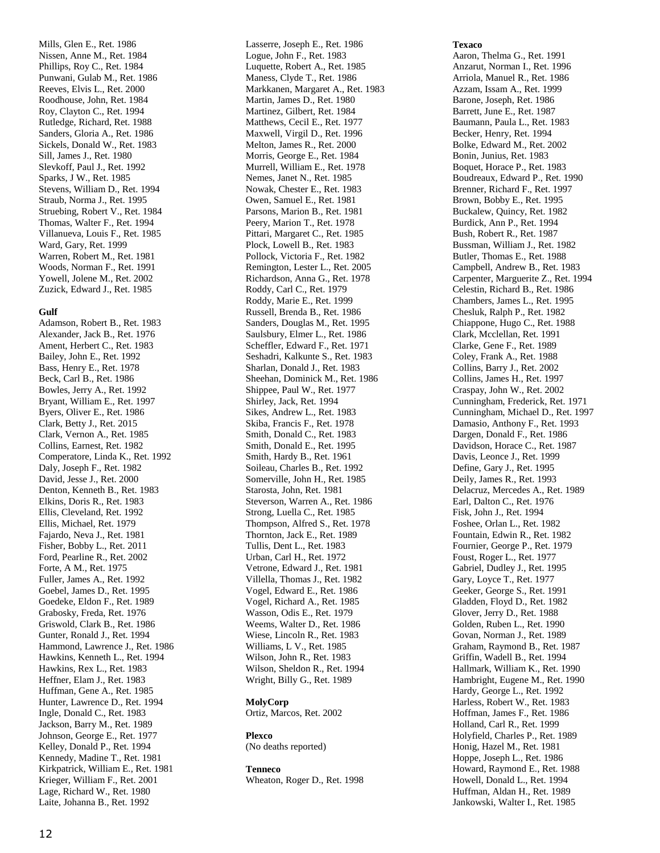Mills, Glen E., Ret. 1986 Nissen, Anne M., Ret. 1984 Phillips, Roy C., Ret. 1984 Punwani, Gulab M., Ret. 1986 Reeves, Elvis L., Ret. 2000 Roodhouse, John, Ret. 1984 Roy, Clayton C., Ret. 1994 Rutledge, Richard, Ret. 1988 Sanders, Gloria A., Ret. 1986 Sickels, Donald W., Ret. 1983 Sill, James J., Ret. 1980 Slevkoff, Paul J., Ret. 1992 Sparks, J W., Ret. 1985 Stevens, William D., Ret. 1994 Straub, Norma J., Ret. 1995 Struebing, Robert V., Ret. 1984 Thomas, Walter F., Ret. 1994 Villanueva, Louis F., Ret. 1985 Ward, Gary, Ret. 1999 Warren, Robert M., Ret. 1981 Woods, Norman F., Ret. 1991 Yowell, Jolene M., Ret. 2002 Zuzick, Edward J., Ret. 1985

### **Gulf**

Adamson, Robert B., Ret. 1983 Alexander, Jack B., Ret. 1976 Ament, Herbert C., Ret. 1983 Bailey, John E., Ret. 1992 Bass, Henry E., Ret. 1978 Beck, Carl B., Ret. 1986 Bowles, Jerry A., Ret. 1992 Bryant, William E., Ret. 1997 Byers, Oliver E., Ret. 1986 Clark, Betty J., Ret. 2015 Clark, Vernon A., Ret. 1985 Collins, Earnest, Ret. 1982 Comperatore, Linda K., Ret. 1992 Daly, Joseph F., Ret. 1982 David, Jesse J., Ret. 2000 Denton, Kenneth B., Ret. 1983 Elkins, Doris R., Ret. 1983 Ellis, Cleveland, Ret. 1992 Ellis, Michael, Ret. 1979 Fajardo, Neva J., Ret. 1981 Fisher, Bobby L., Ret. 2011 Ford, Pearline R., Ret. 2002 Forte, A M., Ret. 1975 Fuller, James A., Ret. 1992 Goebel, James D., Ret. 1995 Goedeke, Eldon F., Ret. 1989 Grabosky, Freda, Ret. 1976 Griswold, Clark B., Ret. 1986 Gunter, Ronald J., Ret. 1994 Hammond, Lawrence J., Ret. 1986 Hawkins, Kenneth L., Ret. 1994 Hawkins, Rex L., Ret. 1983 Heffner, Elam J., Ret. 1983 Huffman, Gene A., Ret. 1985 Hunter, Lawrence D., Ret. 1994 Ingle, Donald C., Ret. 1983 Jackson, Barry M., Ret. 1989 Johnson, George E., Ret. 1977 Kelley, Donald P., Ret. 1994 Kennedy, Madine T., Ret. 1981 Kirkpatrick, William E., Ret. 1981 Krieger, William F., Ret. 2001 Lage, Richard W., Ret. 1980 Laite, Johanna B., Ret. 1992

Lasserre, Joseph E., Ret. 1986 Logue, John F., Ret. 1983 Luquette, Robert A., Ret. 1985 Maness, Clyde T., Ret. 1986 Markkanen, Margaret A., Ret. 1983 Martin, James D., Ret. 1980 Martinez, Gilbert, Ret. 1984 Matthews, Cecil E., Ret. 1977 Maxwell, Virgil D., Ret. 1996 Melton, James R., Ret. 2000 Morris, George E., Ret. 1984 Murrell, William E., Ret. 1978 Nemes, Janet N., Ret. 1985 Nowak, Chester E., Ret. 1983 Owen, Samuel E., Ret. 1981 Parsons, Marion B., Ret. 1981 Peery, Marion T., Ret. 1978 Pittari, Margaret C., Ret. 1985 Plock, Lowell B., Ret. 1983 Pollock, Victoria F., Ret. 1982 Remington, Lester L., Ret. 2005 Richardson, Anna G., Ret. 1978 Roddy, Carl C., Ret. 1979 Roddy, Marie E., Ret. 1999 Russell, Brenda B., Ret. 1986 Sanders, Douglas M., Ret. 1995 Saulsbury, Elmer L., Ret. 1986 Scheffler, Edward F., Ret. 1971 Seshadri, Kalkunte S., Ret. 1983 Sharlan, Donald J., Ret. 1983 Sheehan, Dominick M., Ret. 1986 Shippee, Paul W., Ret. 1977 Shirley, Jack, Ret. 1994 Sikes, Andrew L., Ret. 1983 Skiba, Francis F., Ret. 1978 Smith, Donald C., Ret. 1983 Smith, Donald E., Ret. 1995 Smith, Hardy B., Ret. 1961 Soileau, Charles B., Ret. 1992 Somerville, John H., Ret. 1985 Starosta, John, Ret. 1981 Steverson, Warren A., Ret. 1986 Strong, Luella C., Ret. 1985 Thompson, Alfred S., Ret. 1978 Thornton, Jack E., Ret. 1989 Tullis, Dent L., Ret. 1983 Urban, Carl H., Ret. 1972 Vetrone, Edward J., Ret. 1981 Villella, Thomas J., Ret. 1982 Vogel, Edward E., Ret. 1986 Vogel, Richard A., Ret. 1985 Wasson, Odis E., Ret. 1979 Weems, Walter D., Ret. 1986 Wiese, Lincoln R., Ret. 1983 Williams, L V., Ret. 1985 Wilson, John R., Ret. 1983 Wilson, Sheldon R., Ret. 1994 Wright, Billy G., Ret. 1989

### **MolyCorp**

Ortiz, Marcos, Ret. 2002

## **Plexco**

(No deaths reported)

### **Tenneco**

Wheaton, Roger D., Ret. 1998

**Texaco**

Aaron, Thelma G., Ret. 1991 Anzarut, Norman I., Ret. 1996 Arriola, Manuel R., Ret. 1986 Azzam, Issam A., Ret. 1999 Barone, Joseph, Ret. 1986 Barrett, June E., Ret. 1987 Baumann, Paula L., Ret. 1983 Becker, Henry, Ret. 1994 Bolke, Edward M., Ret. 2002 Bonin, Junius, Ret. 1983 Boquet, Horace P., Ret. 1983 Boudreaux, Edward P., Ret. 1990 Brenner, Richard F., Ret. 1997 Brown, Bobby E., Ret. 1995 Buckalew, Quincy, Ret. 1982 Burdick, Ann P., Ret. 1994 Bush, Robert R., Ret. 1987 Bussman, William J., Ret. 1982 Butler, Thomas E., Ret. 1988 Campbell, Andrew B., Ret. 1983 Carpenter, Marguerite Z., Ret. 1994 Celestin, Richard B., Ret. 1986 Chambers, James L., Ret. 1995 Chesluk, Ralph P., Ret. 1982 Chiappone, Hugo C., Ret. 1988 Clark, Mcclellan, Ret. 1991 Clarke, Gene F., Ret. 1989 Coley, Frank A., Ret. 1988 Collins, Barry J., Ret. 2002 Collins, James H., Ret. 1997 Craspay, John W., Ret. 2002 Cunningham, Frederick, Ret. 1971 Cunningham, Michael D., Ret. 1997 Damasio, Anthony F., Ret. 1993 Dargen, Donald F., Ret. 1986 Davidson, Horace C., Ret. 1987 Davis, Leonce J., Ret. 1999 Define, Gary J., Ret. 1995 Deily, James R., Ret. 1993 Delacruz, Mercedes A., Ret. 1989 Earl, Dalton C., Ret. 1976 Fisk, John J., Ret. 1994 Foshee, Orlan L., Ret. 1982 Fountain, Edwin R., Ret. 1982 Fournier, George P., Ret. 1979 Foust, Roger L., Ret. 1977 Gabriel, Dudley J., Ret. 1995 Gary, Loyce T., Ret. 1977 Geeker, George S., Ret. 1991 Gladden, Floyd D., Ret. 1982 Glover, Jerry D., Ret. 1988 Golden, Ruben L., Ret. 1990 Govan, Norman J., Ret. 1989 Graham, Raymond B., Ret. 1987 Griffin, Wadell B., Ret. 1994 Hallmark, William K., Ret. 1990 Hambright, Eugene M., Ret. 1990 Hardy, George L., Ret. 1992 Harless, Robert W., Ret. 1983 Hoffman, James F., Ret. 1986 Holland, Carl R., Ret. 1999 Holyfield, Charles P., Ret. 1989 Honig, Hazel M., Ret. 1981 Hoppe, Joseph L., Ret. 1986 Howard, Raymond E., Ret. 1988 Howell, Donald L., Ret. 1994 Huffman, Aldan H., Ret. 1989 Jankowski, Walter I., Ret. 1985